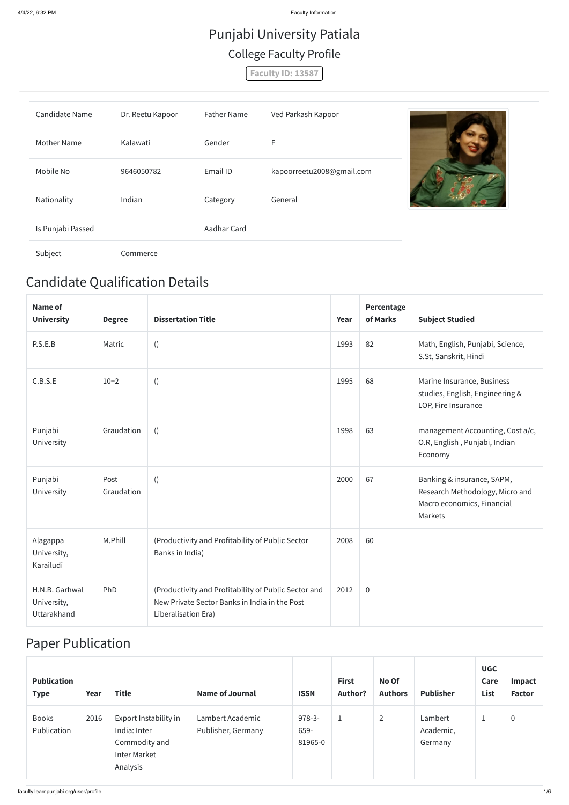## Candidate Qualification Details

| Name of<br><b>University</b>         | <b>Degree</b>      | <b>Dissertation Title</b>                                                                             | Year | Percentage<br>of Marks | <b>Subject Studied</b>                                                                                 |
|--------------------------------------|--------------------|-------------------------------------------------------------------------------------------------------|------|------------------------|--------------------------------------------------------------------------------------------------------|
| P.S.E.B                              | Matric             | $\left( \right)$                                                                                      | 1993 | 82                     | Math, English, Punjabi, Science,<br>S.St, Sanskrit, Hindi                                              |
| C.B.S.E                              | $10+2$             | $\left( \right)$                                                                                      | 1995 | 68                     | Marine Insurance, Business<br>studies, English, Engineering &<br>LOP, Fire Insurance                   |
| Punjabi<br>University                | Graudation         | ()                                                                                                    | 1998 | 63                     | management Accounting, Cost a/c,<br>O.R, English, Punjabi, Indian<br>Economy                           |
| Punjabi<br>University                | Post<br>Graudation | $\left( \right)$                                                                                      | 2000 | 67                     | Banking & insurance, SAPM,<br>Research Methodology, Micro and<br>Macro economics, Financial<br>Markets |
| Alagappa<br>University,<br>Karailudi | M.Phill            | (Productivity and Profitability of Public Sector<br>Banks in India)                                   | 2008 | 60                     |                                                                                                        |
| H.N.B. Garhwal<br>University,        | PhD                | (Productivity and Profitability of Public Sector and<br>New Private Sector Banks in India in the Post | 2012 | $\boldsymbol{0}$       |                                                                                                        |

### Paper Publication

| <b>Publication</b><br><b>Type</b> | Year | <b>Title</b>                                                                              | <b>Name of Journal</b>                 | <b>ISSN</b>                 | <b>First</b><br><b>Author?</b> | No Of<br><b>Authors</b> | <b>Publisher</b>                | <b>UGC</b><br>Care<br>List | <b>Impact</b><br><b>Factor</b> |
|-----------------------------------|------|-------------------------------------------------------------------------------------------|----------------------------------------|-----------------------------|--------------------------------|-------------------------|---------------------------------|----------------------------|--------------------------------|
| <b>Books</b><br>Publication       | 2016 | Export Instability in<br>India: Inter<br>Commodity and<br><b>Inter Market</b><br>Analysis | Lambert Academic<br>Publisher, Germany | $978-3-$<br>659-<br>81965-0 | ᆠ                              | $\overline{2}$          | Lambert<br>Academic,<br>Germany |                            | $\pmb{0}$                      |

# Punjabi University Patiala College Faculty Profile

**Faculty ID: 13587**

| <b>Candidate Name</b> | Dr. Reetu Kapoor | <b>Father Name</b> | Ved Parkash Kapoor        |  |
|-----------------------|------------------|--------------------|---------------------------|--|
| <b>Mother Name</b>    | Kalawati         | Gender             | F                         |  |
| Mobile No             | 9646050782       | Email ID           | kapoorreetu2008@gmail.com |  |
| Nationality           | Indian           | Category           | General                   |  |
| Is Punjabi Passed     |                  | Aadhar Card        |                           |  |
| Subject               | Commerce         |                    |                           |  |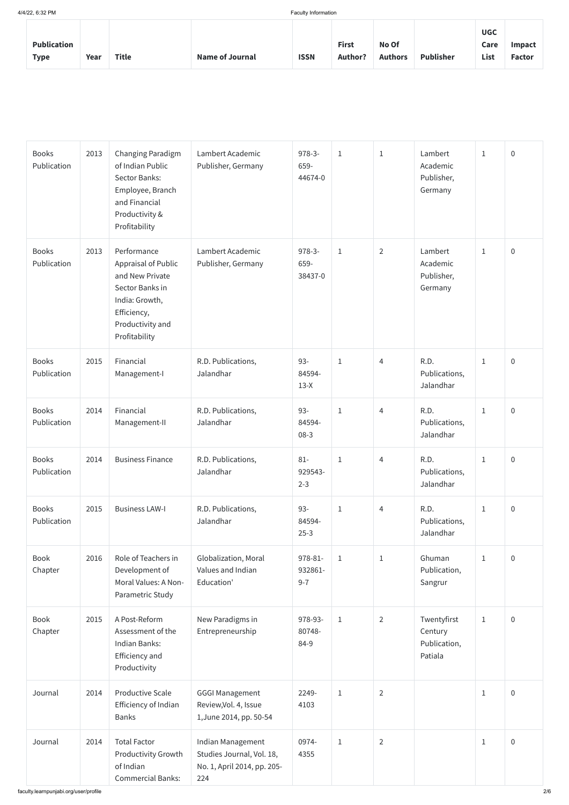| <b>Publication</b><br><b>Type</b> | Year | <b>Title</b> | <b>Name of Journal</b> | <b>ISSN</b> | <b>First</b><br><b>Author?</b> | No Of<br><b>Authors</b> | <b>Publisher</b> | <b>UGC</b><br>Care<br>List | Impact<br><b>Factor</b> |
|-----------------------------------|------|--------------|------------------------|-------------|--------------------------------|-------------------------|------------------|----------------------------|-------------------------|
|-----------------------------------|------|--------------|------------------------|-------------|--------------------------------|-------------------------|------------------|----------------------------|-------------------------|

| <b>Books</b><br>Publication | 2013 | Changing Paradigm<br>of Indian Public<br>Sector Banks:<br>Employee, Branch<br>and Financial<br>Productivity &<br>Profitability                        | Lambert Academic<br>Publisher, Germany                                               | $978-3-$<br>659-<br>44674-0   | $1\,$        | $1\,$          | Lambert<br>Academic<br>Publisher,<br>Germany      | $\mathbf{1}$ | $\boldsymbol{0}$ |
|-----------------------------|------|-------------------------------------------------------------------------------------------------------------------------------------------------------|--------------------------------------------------------------------------------------|-------------------------------|--------------|----------------|---------------------------------------------------|--------------|------------------|
| <b>Books</b><br>Publication | 2013 | Performance<br><b>Appraisal of Public</b><br>and New Private<br>Sector Banks in<br>India: Growth,<br>Efficiency,<br>Productivity and<br>Profitability | Lambert Academic<br>Publisher, Germany                                               | $978-3-$<br>659-<br>38437-0   | $\mathbf{1}$ | $\overline{2}$ | Lambert<br>Academic<br>Publisher,<br>Germany      | $\mathbf{1}$ | $\boldsymbol{0}$ |
| <b>Books</b><br>Publication | 2015 | Financial<br>Management-I                                                                                                                             | R.D. Publications,<br>Jalandhar                                                      | $93 -$<br>84594-<br>$13-X$    | $\mathbf{1}$ | $\overline{4}$ | R.D.<br>Publications,<br>Jalandhar                | $\mathbf{1}$ | $\boldsymbol{0}$ |
| <b>Books</b><br>Publication | 2014 | Financial<br>Management-II                                                                                                                            | R.D. Publications,<br>Jalandhar                                                      | $93 -$<br>84594-<br>$08-3$    | $1\,$        | 4              | R.D.<br>Publications,<br>Jalandhar                | $\mathbf{1}$ | $\pmb{0}$        |
| <b>Books</b><br>Publication | 2014 | <b>Business Finance</b>                                                                                                                               | R.D. Publications,<br>Jalandhar                                                      | $81 -$<br>929543-<br>$2 - 3$  | $\mathbf{1}$ | 4              | R.D.<br>Publications,<br>Jalandhar                | $\mathbf{1}$ | $\boldsymbol{0}$ |
| <b>Books</b><br>Publication | 2015 | <b>Business LAW-I</b>                                                                                                                                 | R.D. Publications,<br>Jalandhar                                                      | $93 -$<br>84594-<br>$25 - 3$  | $\mathbf{1}$ | $\overline{4}$ | R.D.<br>Publications,<br>Jalandhar                | $\mathbf{1}$ | $\boldsymbol{0}$ |
| <b>Book</b><br>Chapter      | 2016 | Role of Teachers in<br>Development of<br>Moral Values: A Non-<br>Parametric Study                                                                     | Globalization, Moral<br>Values and Indian<br>Education'                              | 978-81-<br>932861-<br>$9 - 7$ | $1\,$        | $1\,$          | Ghuman<br>Publication,<br>Sangrur                 | $\mathbf{1}$ | $\boldsymbol{0}$ |
| <b>Book</b><br>Chapter      | 2015 | A Post-Reform<br>Assessment of the<br>Indian Banks:<br>Efficiency and<br>Productivity                                                                 | New Paradigms in<br>Entrepreneurship                                                 | 978-93-<br>80748-<br>84-9     | $\,1\,$      | $\overline{2}$ | Twentyfirst<br>Century<br>Publication,<br>Patiala | $\mathbf{1}$ | $\boldsymbol{0}$ |
| Journal                     | 2014 | <b>Productive Scale</b><br>Efficiency of Indian<br><b>Banks</b>                                                                                       | <b>GGGI Management</b><br>Review, Vol. 4, Issue<br>1, June 2014, pp. 50-54           | 2249-<br>4103                 | $1\,$        | $\overline{2}$ |                                                   | $\mathbf{1}$ | $\boldsymbol{0}$ |
| Journal                     | 2014 | <b>Total Factor</b><br><b>Productivity Growth</b><br>of Indian<br><b>Commercial Banks:</b>                                                            | Indian Management<br>Studies Journal, Vol. 18,<br>No. 1, April 2014, pp. 205-<br>224 | 0974-<br>4355                 | $\mathbf 1$  | $\overline{2}$ |                                                   | 1            | $\overline{0}$   |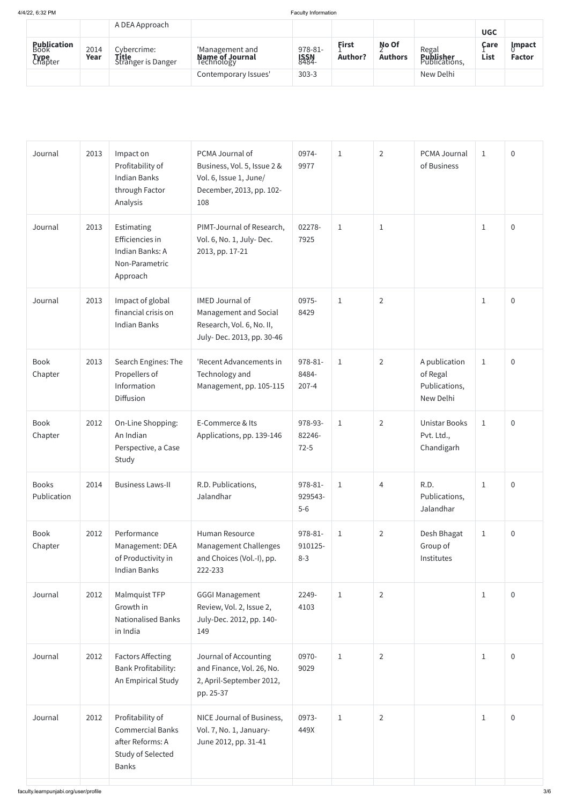|                                               |              | A DEA Approach                                    |                                           |                                  |                  |                         |                                            | <b>UGC</b>   |                                 |
|-----------------------------------------------|--------------|---------------------------------------------------|-------------------------------------------|----------------------------------|------------------|-------------------------|--------------------------------------------|--------------|---------------------------------|
| <b>Publication</b><br>Book<br>Type<br>Chapter | 2014<br>Year | Cybercrime:<br><b>Title</b><br>Stranger is Danger | 'Management and<br><b>Name of Journal</b> | 978-81-<br><b>ISSN<br/>8484-</b> | First<br>Author? | No Of<br><b>Authors</b> | Regal<br><b>Publisher</b><br>Publications, | Care<br>List | <u>l</u> mpact<br><b>Factor</b> |
|                                               |              |                                                   | Contemporary Issues'                      | $303 - 3$                        |                  |                         | New Delhi                                  |              |                                 |

| Journal                     | 2013 | Impact on<br>Profitability of<br><b>Indian Banks</b><br>through Factor<br>Analysis                   | PCMA Journal of<br>Business, Vol. 5, Issue 2 &<br>Vol. 6, Issue 1, June/<br>December, 2013, pp. 102-<br>108 | 0974-<br>9977                 | $1\,$        | $\overline{2}$ | PCMA Journal<br>of Business                             | $\mathbf{1}$ | $\overline{0}$ |
|-----------------------------|------|------------------------------------------------------------------------------------------------------|-------------------------------------------------------------------------------------------------------------|-------------------------------|--------------|----------------|---------------------------------------------------------|--------------|----------------|
| Journal                     | 2013 | Estimating<br>Efficiencies in<br>Indian Banks: A<br>Non-Parametric<br>Approach                       | PIMT-Journal of Research,<br>Vol. 6, No. 1, July-Dec.<br>2013, pp. 17-21                                    | 02278-<br>7925                | $\mathbf{1}$ | $\mathbf{1}$   |                                                         | $\mathbf{1}$ | $\overline{0}$ |
| Journal                     | 2013 | Impact of global<br>financial crisis on<br><b>Indian Banks</b>                                       | <b>IMED Journal of</b><br>Management and Social<br>Research, Vol. 6, No. II,<br>July-Dec. 2013, pp. 30-46   | 0975-<br>8429                 | $\mathbf{1}$ | $\overline{2}$ |                                                         | $\mathbf{1}$ | $\overline{0}$ |
| <b>Book</b><br>Chapter      | 2013 | Search Engines: The<br>Propellers of<br>Information<br>Diffusion                                     | 'Recent Advancements in<br>Technology and<br>Management, pp. 105-115                                        | 978-81-<br>8484-<br>$207 - 4$ | $\mathbf{1}$ | $\overline{2}$ | A publication<br>of Regal<br>Publications,<br>New Delhi | $1\,$        | $\overline{0}$ |
| <b>Book</b><br>Chapter      | 2012 | On-Line Shopping:<br>An Indian<br>Perspective, a Case<br>Study                                       | E-Commerce & Its<br>Applications, pp. 139-146                                                               | 978-93-<br>82246-<br>$72 - 5$ | $\mathbf{1}$ | $\overline{2}$ | <b>Unistar Books</b><br>Pvt. Ltd.,<br>Chandigarh        | $\mathbf{1}$ | $\overline{0}$ |
| <b>Books</b><br>Publication | 2014 | <b>Business Laws-II</b>                                                                              | R.D. Publications,<br>Jalandhar                                                                             | 978-81-<br>929543-<br>$5-6$   | $\mathbf{1}$ | $\overline{4}$ | R.D.<br>Publications,<br>Jalandhar                      | $\mathbf{1}$ | $\mathbf 0$    |
| <b>Book</b><br>Chapter      | 2012 | Performance<br>Management: DEA<br>of Productivity in<br><b>Indian Banks</b>                          | <b>Human Resource</b><br>Management Challenges<br>and Choices (Vol.-I), pp.<br>222-233                      | 978-81-<br>910125-<br>$8 - 3$ | $\mathbf{1}$ | $\overline{2}$ | Desh Bhagat<br>Group of<br>Institutes                   | $1\,$        | $\overline{0}$ |
| Journal                     | 2012 | Malmquist TFP<br>Growth in<br><b>Nationalised Banks</b><br>in India                                  | <b>GGGI Management</b><br>Review, Vol. 2, Issue 2,<br>July-Dec. 2012, pp. 140-<br>149                       | 2249-<br>4103                 | $\mathbf{1}$ | $\overline{2}$ |                                                         | $\mathbf{1}$ | $\overline{0}$ |
| Journal                     | 2012 | <b>Factors Affecting</b><br><b>Bank Profitability:</b><br>An Empirical Study                         | Journal of Accounting<br>and Finance, Vol. 26, No.<br>2, April-September 2012,<br>pp. 25-37                 | 0970-<br>9029                 | $\mathbf{1}$ | $\overline{2}$ |                                                         | $\mathbf{1}$ | $\overline{0}$ |
| Journal                     | 2012 | Profitability of<br><b>Commercial Banks</b><br>after Reforms: A<br>Study of Selected<br><b>Banks</b> | NICE Journal of Business,<br>Vol. 7, No. 1, January-<br>June 2012, pp. 31-41                                | 0973-<br>449X                 | $1\,$        | $\overline{2}$ |                                                         | $\mathbf{1}$ | $\overline{0}$ |
|                             |      |                                                                                                      |                                                                                                             |                               |              |                |                                                         |              |                |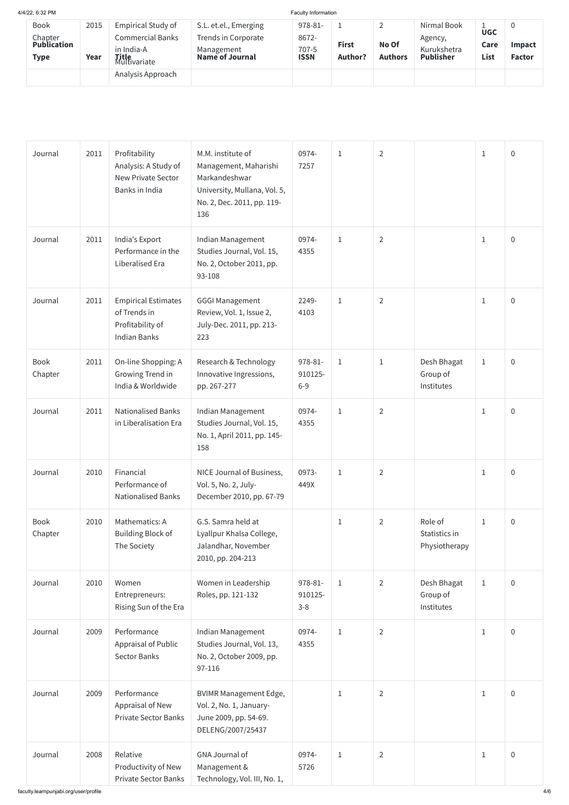| 2015 | <b>Empirical Study of</b> | S.L. et.el., Emerging        | 978-81-                       |             |                         | Nirmal Book             |                  |                            |
|------|---------------------------|------------------------------|-------------------------------|-------------|-------------------------|-------------------------|------------------|----------------------------|
|      | <b>Commercial Banks</b>   | Trends in Corporate          | 8672-                         |             |                         | Agency,                 |                  |                            |
|      | in India-A                |                              | 707-5                         |             |                         | Kurukshetra             |                  | <b>Impact</b>              |
| Year |                           |                              |                               |             |                         |                         |                  | <b>Factor</b>              |
|      | Analysis Approach         |                              |                               |             |                         |                         |                  |                            |
|      |                           | <b>Title</b><br>Multivariate | Management<br>Name of Journal | <b>ISSN</b> | <b>First</b><br>Author? | No Of<br><b>Authors</b> | <b>Publisher</b> | <b>UGC</b><br>Care<br>List |

| Journal                | 2011 | Profitability<br>Analysis: A Study of<br><b>New Private Sector</b><br>Banks in India  | M.M. institute of<br>Management, Maharishi<br>Markandeshwar<br>University, Mullana, Vol. 5,<br>No. 2, Dec. 2011, pp. 119-<br>136 | 0974-<br>7257                 | $1\,$        | $\overline{2}$ |                                           | $\mathbf{1}$ | $\overline{0}$ |
|------------------------|------|---------------------------------------------------------------------------------------|----------------------------------------------------------------------------------------------------------------------------------|-------------------------------|--------------|----------------|-------------------------------------------|--------------|----------------|
| Journal                | 2011 | India's Export<br>Performance in the<br>Liberalised Era                               | Indian Management<br>Studies Journal, Vol. 15,<br>No. 2, October 2011, pp.<br>93-108                                             | 0974-<br>4355                 | $\mathbf{1}$ | $\overline{2}$ |                                           | $\mathbf{1}$ | $\overline{0}$ |
| Journal                | 2011 | <b>Empirical Estimates</b><br>of Trends in<br>Profitability of<br><b>Indian Banks</b> | <b>GGGI Management</b><br>Review, Vol. 1, Issue 2,<br>July-Dec. 2011, pp. 213-<br>223                                            | 2249-<br>4103                 | $\mathbf{1}$ | $\overline{2}$ |                                           | $\mathbf{1}$ | $\overline{0}$ |
| Book<br>Chapter        | 2011 | On-line Shopping: A<br>Growing Trend in<br>India & Worldwide                          | Research & Technology<br>Innovative Ingressions,<br>pp. 267-277                                                                  | 978-81-<br>910125-<br>$6-9$   | $\mathbf{1}$ | $\mathbf{1}$   | Desh Bhagat<br>Group of<br>Institutes     | $\mathbf{1}$ | $\overline{0}$ |
| Journal                | 2011 | <b>Nationalised Banks</b><br>in Liberalisation Era                                    | Indian Management<br>Studies Journal, Vol. 15,<br>No. 1, April 2011, pp. 145-<br>158                                             | 0974-<br>4355                 | $1\,$        | $\overline{2}$ |                                           | $\mathbf{1}$ | $\overline{0}$ |
| Journal                | 2010 | Financial<br>Performance of<br><b>Nationalised Banks</b>                              | NICE Journal of Business,<br>Vol. 5, No. 2, July-<br>December 2010, pp. 67-79                                                    | 0973-<br>449X                 | $\mathbf{1}$ | $\overline{2}$ |                                           | $\mathbf{1}$ | $\overline{0}$ |
| <b>Book</b><br>Chapter | 2010 | Mathematics: A<br>Building Block of<br>The Society                                    | G.S. Samra held at<br>Lyallpur Khalsa College,<br>Jalandhar, November<br>2010, pp. 204-213                                       |                               | $\mathbf{1}$ | $\overline{2}$ | Role of<br>Statistics in<br>Physiotherapy | $\mathbf{1}$ | $\overline{0}$ |
| Journal                | 2010 | Women<br>Entrepreneurs:<br>Rising Sun of the Era                                      | Women in Leadership<br>Roles, pp. 121-132                                                                                        | 978-81-<br>910125-<br>$3 - 8$ | $\mathbf{1}$ | $\overline{2}$ | Desh Bhagat<br>Group of<br>Institutes     | $\mathbf{1}$ | $\overline{0}$ |
| Journal                | 2009 | Performance<br>Appraisal of Public<br><b>Sector Banks</b>                             | Indian Management<br>Studies Journal, Vol. 13,<br>No. 2, October 2009, pp.<br>97-116                                             | 0974-<br>4355                 | $\mathbf{1}$ | $\overline{2}$ |                                           | $\mathbf{1}$ | $\overline{0}$ |
| Journal                | 2009 | Performance<br>Appraisal of New<br><b>Private Sector Banks</b>                        | <b>BVIMR Management Edge,</b><br>Vol. 2, No. 1, January-<br>June 2009, pp. 54-69.<br>DELENG/2007/25437                           |                               | $\mathbf{1}$ | $\overline{2}$ |                                           | $\mathbf{1}$ | $\overline{0}$ |
| Journal                | 2008 | Relative<br>Productivity of New<br><b>Private Sector Banks</b>                        | <b>GNA Journal of</b><br>Management &<br>Technology, Vol. III, No. 1,                                                            | 0974-<br>5726                 | $\mathbf{1}$ | $\overline{2}$ |                                           | $\mathbf{1}$ | $\overline{0}$ |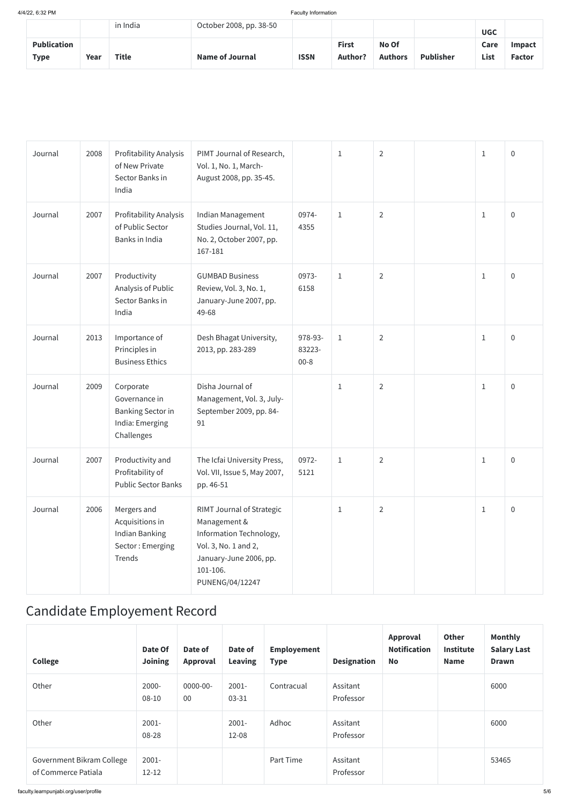|                                   |      | in India | October 2008, pp. 38-50 |             |                                |                         |                  | <b>UGC</b>   |                         |
|-----------------------------------|------|----------|-------------------------|-------------|--------------------------------|-------------------------|------------------|--------------|-------------------------|
| <b>Publication</b><br><b>Type</b> | Year | Title    | <b>Name of Journal</b>  | <b>ISSN</b> | <b>First</b><br><b>Author?</b> | No Of<br><b>Authors</b> | <b>Publisher</b> | Care<br>List | Impact<br><b>Factor</b> |

| Journal | 2008 | Profitability Analysis<br>of New Private<br>Sector Banks in<br>India                    | PIMT Journal of Research,<br>Vol. 1, No. 1, March-<br>August 2008, pp. 35-45.                                                                         |                               | $1\,$        | $\overline{2}$ | $1\,$        | $\boldsymbol{0}$ |
|---------|------|-----------------------------------------------------------------------------------------|-------------------------------------------------------------------------------------------------------------------------------------------------------|-------------------------------|--------------|----------------|--------------|------------------|
| Journal | 2007 | <b>Profitability Analysis</b><br>of Public Sector<br>Banks in India                     | Indian Management<br>Studies Journal, Vol. 11,<br>No. 2, October 2007, pp.<br>167-181                                                                 | 0974-<br>4355                 | $\mathbf{1}$ | $\overline{2}$ | $\mathbf{1}$ | $\overline{0}$   |
| Journal | 2007 | Productivity<br>Analysis of Public<br>Sector Banks in<br>India                          | <b>GUMBAD Business</b><br>Review, Vol. 3, No. 1,<br>January-June 2007, pp.<br>49-68                                                                   | 0973-<br>6158                 | $\mathbf{1}$ | $\overline{2}$ | $\mathbf{1}$ | $\overline{0}$   |
| Journal | 2013 | Importance of<br>Principles in<br><b>Business Ethics</b>                                | Desh Bhagat University,<br>2013, pp. 283-289                                                                                                          | 978-93-<br>83223-<br>$00 - 8$ | $1\,$        | $\overline{2}$ | $\mathbf 1$  | $\overline{0}$   |
| Journal | 2009 | Corporate<br>Governance in<br><b>Banking Sector in</b><br>India: Emerging<br>Challenges | Disha Journal of<br>Management, Vol. 3, July-<br>September 2009, pp. 84-<br>91                                                                        |                               | $\mathbf{1}$ | $\overline{2}$ | $\mathbf 1$  | $\overline{0}$   |
| Journal | 2007 | Productivity and<br>Profitability of<br><b>Public Sector Banks</b>                      | The Icfai University Press,<br>Vol. VII, Issue 5, May 2007,<br>pp. 46-51                                                                              | 0972-<br>5121                 | $\mathbf{1}$ | $\overline{2}$ | $\mathbf{1}$ | $\overline{0}$   |
| Journal | 2006 | Mergers and<br>Acquisitions in<br>Indian Banking<br>Sector: Emerging<br>Trends          | RIMT Journal of Strategic<br>Management &<br>Information Technology,<br>Vol. 3, No. 1 and 2,<br>January-June 2006, pp.<br>101-106.<br>PUNENG/04/12247 |                               | $\mathbf{1}$ | $\overline{2}$ | $\mathbf{1}$ | $\overline{0}$   |

### Candidate Employement Record

| <b>College</b>                                   | Date Of<br><b>Joining</b> | Date of<br>Approval | Date of<br><b>Leaving</b> | <b>Employement</b><br><b>Type</b> | <b>Designation</b>    | Approval<br><b>Notification</b><br><b>No</b> | <b>Other</b><br><b>Institute</b><br><b>Name</b> | <b>Monthly</b><br><b>Salary Last</b><br><b>Drawn</b> |
|--------------------------------------------------|---------------------------|---------------------|---------------------------|-----------------------------------|-----------------------|----------------------------------------------|-------------------------------------------------|------------------------------------------------------|
| Other                                            | $2000 -$<br>$08 - 10$     | $0000 - 00 -$<br>00 | 2001-<br>03-31            | Contracual                        | Assitant<br>Professor |                                              |                                                 | 6000                                                 |
| Other                                            | $2001 -$<br>08-28         |                     | $2001 -$<br>12-08         | Adhoc                             | Assitant<br>Professor |                                              |                                                 | 6000                                                 |
| Government Bikram College<br>of Commerce Patiala | $2001 -$<br>$12 - 12$     |                     |                           | Part Time                         | Assitant<br>Professor |                                              |                                                 | 53465                                                |